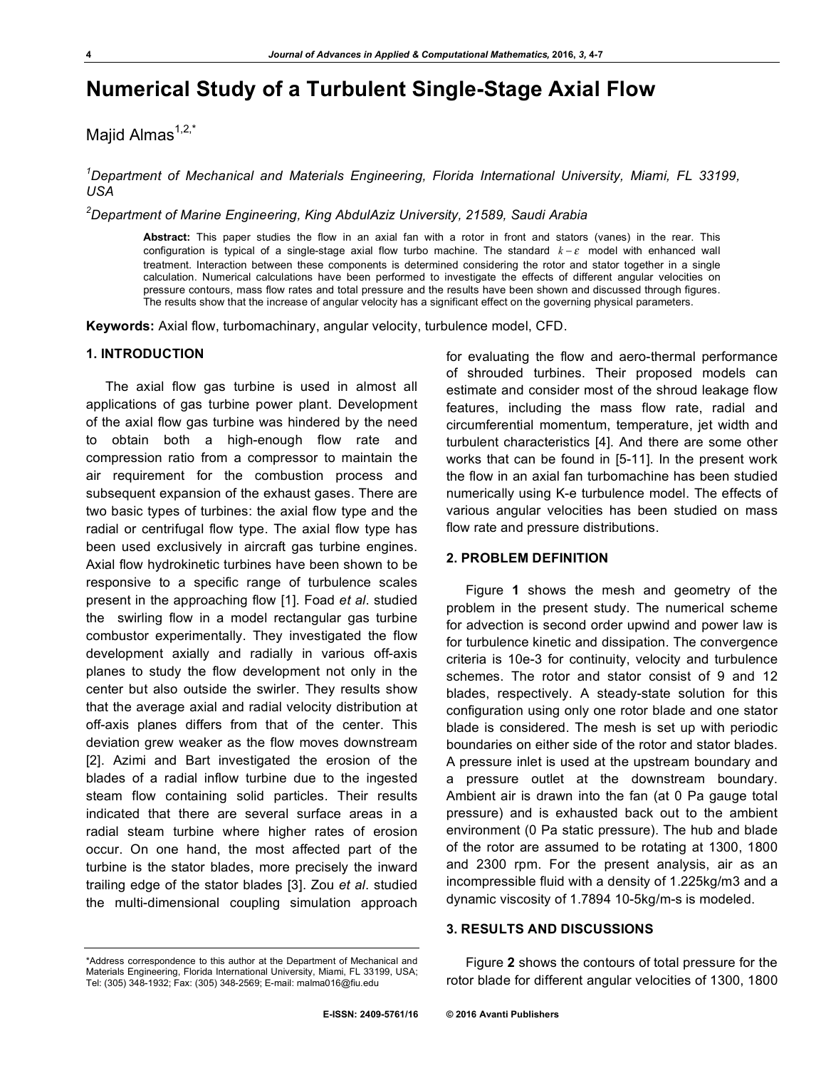# **Numerical Study of a Turbulent Single-Stage Axial Flow**

Majid Almas $1,2,3$ 

*1 Department of Mechanical and Materials Engineering, Florida International University, Miami, FL 33199, USA*

*2 Department of Marine Engineering, King AbdulAziz University, 21589, Saudi Arabia*

**Abstract:** This paper studies the flow in an axial fan with a rotor in front and stators (vanes) in the rear. This configuration is typical of a single-stage axial flow turbo machine. The standard  $k - \varepsilon$  model with enhanced wall treatment. Interaction between these components is determined considering the rotor and stator together in a single calculation. Numerical calculations have been performed to investigate the effects of different angular velocities on pressure contours, mass flow rates and total pressure and the results have been shown and discussed through figures. The results show that the increase of angular velocity has a significant effect on the governing physical parameters.

**Keywords:** Axial flow, turbomachinary, angular velocity, turbulence model, CFD.

#### **1. INTRODUCTION**

The axial flow gas turbine is used in almost all applications of gas turbine power plant. Development of the axial flow gas turbine was hindered by the need to obtain both a high-enough flow rate and compression ratio from a compressor to maintain the air requirement for the combustion process and subsequent expansion of the exhaust gases. There are two basic types of turbines: the axial flow type and the radial or centrifugal flow type. The axial flow type has been used exclusively in aircraft gas turbine engines. Axial flow hydrokinetic turbines have been shown to be responsive to a specific range of turbulence scales present in the approaching flow [1]. Foad *et al*. studied the swirling flow in a model rectangular gas turbine combustor experimentally. They investigated the flow development axially and radially in various off-axis planes to study the flow development not only in the center but also outside the swirler. They results show that the average axial and radial velocity distribution at off-axis planes differs from that of the center. This deviation grew weaker as the flow moves downstream [2]. Azimi and Bart investigated the erosion of the blades of a radial inflow turbine due to the ingested steam flow containing solid particles. Their results indicated that there are several surface areas in a radial steam turbine where higher rates of erosion occur. On one hand, the most affected part of the turbine is the stator blades, more precisely the inward trailing edge of the stator blades [3]. Zou *et al*. studied the multi-dimensional coupling simulation approach

for evaluating the flow and aero-thermal performance of shrouded turbines. Their proposed models can estimate and consider most of the shroud leakage flow features, including the mass flow rate, radial and circumferential momentum, temperature, jet width and turbulent characteristics [4]. And there are some other works that can be found in [5-11]. In the present work the flow in an axial fan turbomachine has been studied numerically using K-e turbulence model. The effects of various angular velocities has been studied on mass flow rate and pressure distributions.

## **2. PROBLEM DEFINITION**

Figure **1** shows the mesh and geometry of the problem in the present study. The numerical scheme for advection is second order upwind and power law is for turbulence kinetic and dissipation. The convergence criteria is 10e-3 for continuity, velocity and turbulence schemes. The rotor and stator consist of 9 and 12 blades, respectively. A steady-state solution for this configuration using only one rotor blade and one stator blade is considered. The mesh is set up with periodic boundaries on either side of the rotor and stator blades. A pressure inlet is used at the upstream boundary and a pressure outlet at the downstream boundary. Ambient air is drawn into the fan (at 0 Pa gauge total pressure) and is exhausted back out to the ambient environment (0 Pa static pressure). The hub and blade of the rotor are assumed to be rotating at 1300, 1800 and 2300 rpm. For the present analysis, air as an incompressible fluid with a density of 1.225kg/m3 and a dynamic viscosity of 1.7894 10-5kg/m-s is modeled.

## **3. RESULTS AND DISCUSSIONS**

Figure **2** shows the contours of total pressure for the rotor blade for different angular velocities of 1300, 1800

<sup>\*</sup>Address correspondence to this author at the Department of Mechanical and Materials Engineering, Florida International University, Miami, FL 33199, USA; Tel: (305) 348-1932; Fax: (305) 348-2569; E-mail: malma016@fiu.edu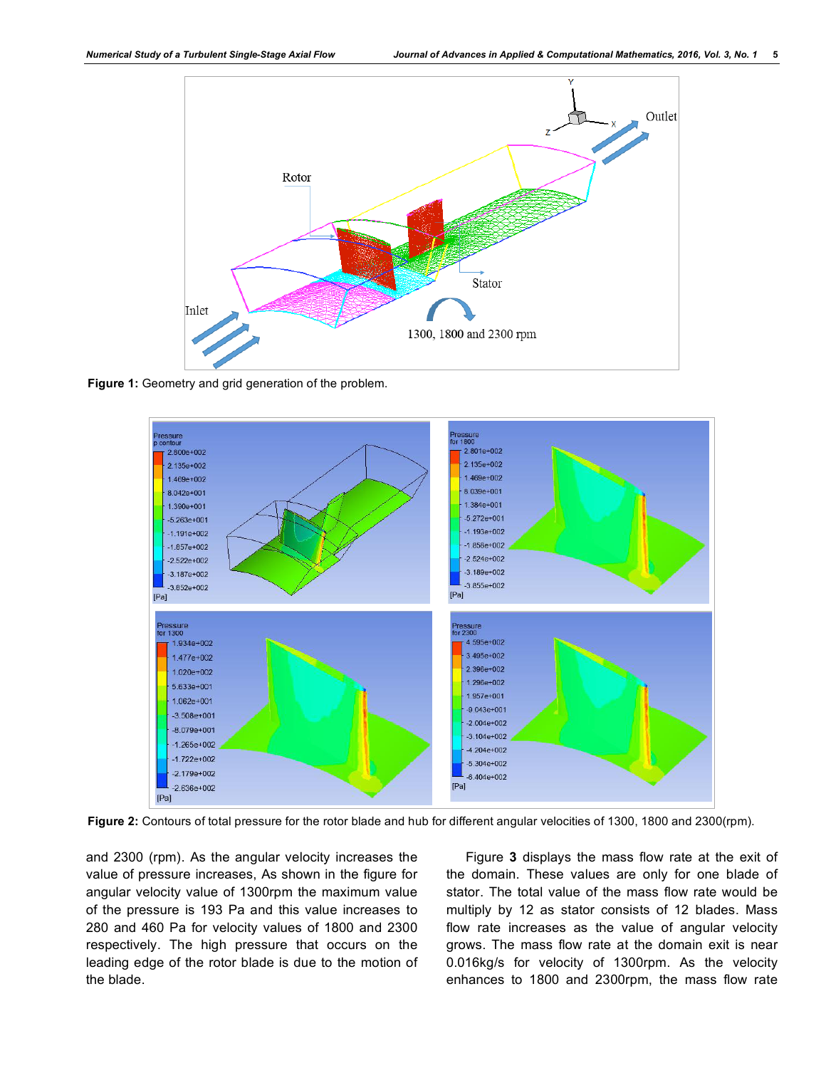

**Figure 1:** Geometry and grid generation of the problem.



**Figure 2:** Contours of total pressure for the rotor blade and hub for different angular velocities of 1300, 1800 and 2300(rpm).

and 2300 (rpm). As the angular velocity increases the value of pressure increases, As shown in the figure for angular velocity value of 1300rpm the maximum value of the pressure is 193 Pa and this value increases to 280 and 460 Pa for velocity values of 1800 and 2300 respectively. The high pressure that occurs on the leading edge of the rotor blade is due to the motion of the blade.

Figure **3** displays the mass flow rate at the exit of the domain. These values are only for one blade of stator. The total value of the mass flow rate would be multiply by 12 as stator consists of 12 blades. Mass flow rate increases as the value of angular velocity grows. The mass flow rate at the domain exit is near 0.016kg/s for velocity of 1300rpm. As the velocity enhances to 1800 and 2300rpm, the mass flow rate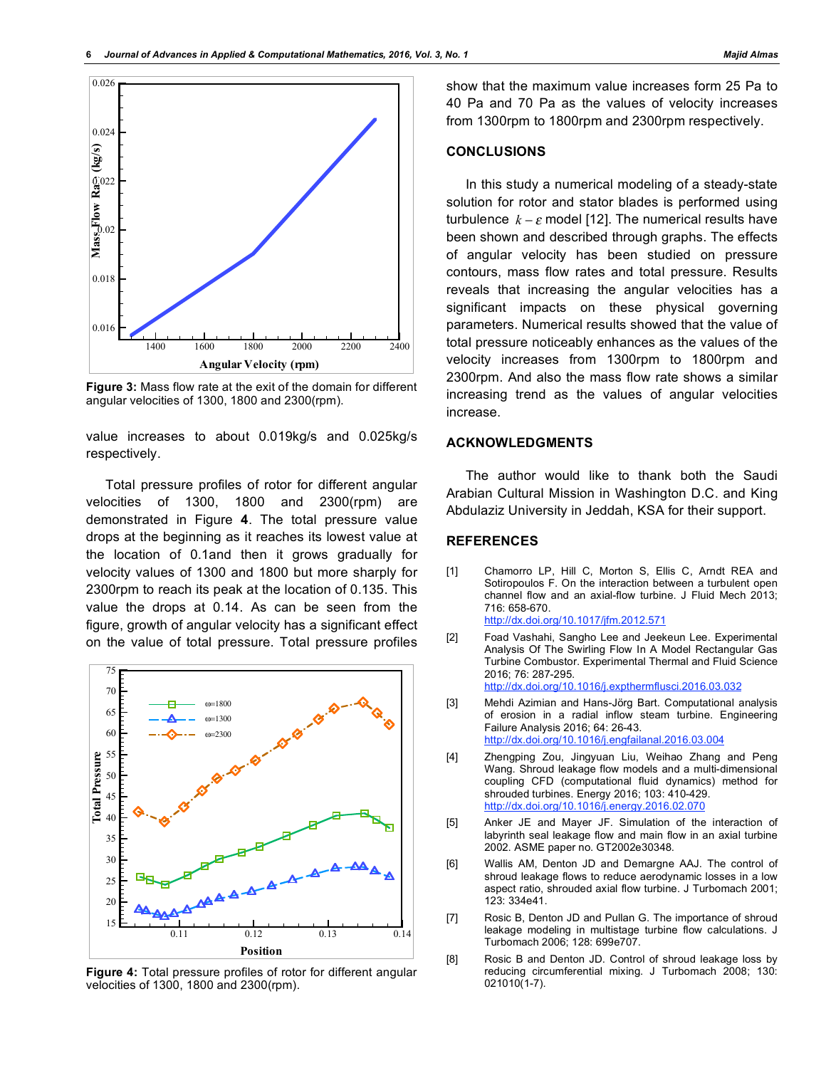

**Figure 3:** Mass flow rate at the exit of the domain for different angular velocities of 1300, 1800 and 2300(rpm).

value increases to about 0.019kg/s and 0.025kg/s respectively.

Total pressure profiles of rotor for different angular velocities of 1300, 1800 and 2300(rpm) are demonstrated in Figure **4**. The total pressure value drops at the beginning as it reaches its lowest value at the location of 0.1and then it grows gradually for velocity values of 1300 and 1800 but more sharply for 2300rpm to reach its peak at the location of 0.135. This value the drops at 0.14. As can be seen from the figure, growth of angular velocity has a significant effect on the value of total pressure. Total pressure profiles



**Figure 4:** Total pressure profiles of rotor for different angular velocities of 1300, 1800 and 2300(rpm).

show that the maximum value increases form 25 Pa to 40 Pa and 70 Pa as the values of velocity increases from 1300rpm to 1800rpm and 2300rpm respectively.

### **CONCLUSIONS**

In this study a numerical modeling of a steady-state solution for rotor and stator blades is performed using turbulence  $k - \varepsilon$  model [12]. The numerical results have been shown and described through graphs. The effects of angular velocity has been studied on pressure contours, mass flow rates and total pressure. Results reveals that increasing the angular velocities has a significant impacts on these physical governing parameters. Numerical results showed that the value of total pressure noticeably enhances as the values of the velocity increases from 1300rpm to 1800rpm and 2300rpm. And also the mass flow rate shows a similar increasing trend as the values of angular velocities increase.

## **ACKNOWLEDGMENTS**

The author would like to thank both the Saudi Arabian Cultural Mission in Washington D.C. and King Abdulaziz University in Jeddah, KSA for their support.

### **REFERENCES**

- [1] Chamorro LP, Hill C, Morton S, Ellis C, Arndt REA and Sotiropoulos F. On the interaction between a turbulent open channel flow and an axial-flow turbine. J Fluid Mech 2013; 716: 658-670. http://dx.doi.org/10.1017/jfm.2012.571
- [2] Foad Vashahi, Sangho Lee and Jeekeun Lee. Experimental Analysis Of The Swirling Flow In A Model Rectangular Gas Turbine Combustor. Experimental Thermal and Fluid Science 2016; 76: 287-295. http://dx.doi.org/10.1016/j.expthermflusci.2016.03.032
- [3] Mehdi Azimian and Hans-Jörg Bart. Computational analysis of erosion in a radial inflow steam turbine. Engineering Failure Analysis 2016; 64: 26-43. http://dx.doi.org/10.1016/j.engfailanal.2016.03.004
- [4] Zhengping Zou, Jingyuan Liu, Weihao Zhang and Peng Wang. Shroud leakage flow models and a multi-dimensional coupling CFD (computational fluid dynamics) method for shrouded turbines. Energy 2016; 103: 410-429. http://dx.doi.org/10.1016/j.energy.2016.02.070
- [5] Anker JE and Mayer JF. Simulation of the interaction of labyrinth seal leakage flow and main flow in an axial turbine 2002. ASME paper no. GT2002e30348.
- [6] Wallis AM, Denton JD and Demargne AAJ. The control of shroud leakage flows to reduce aerodynamic losses in a low aspect ratio, shrouded axial flow turbine. J Turbomach 2001; 123: 334e41.
- [7] Rosic B, Denton JD and Pullan G. The importance of shroud leakage modeling in multistage turbine flow calculations. J Turbomach 2006; 128: 699e707.
- [8] Rosic B and Denton JD. Control of shroud leakage loss by reducing circumferential mixing. J Turbomach 2008; 130: 021010(1-7).